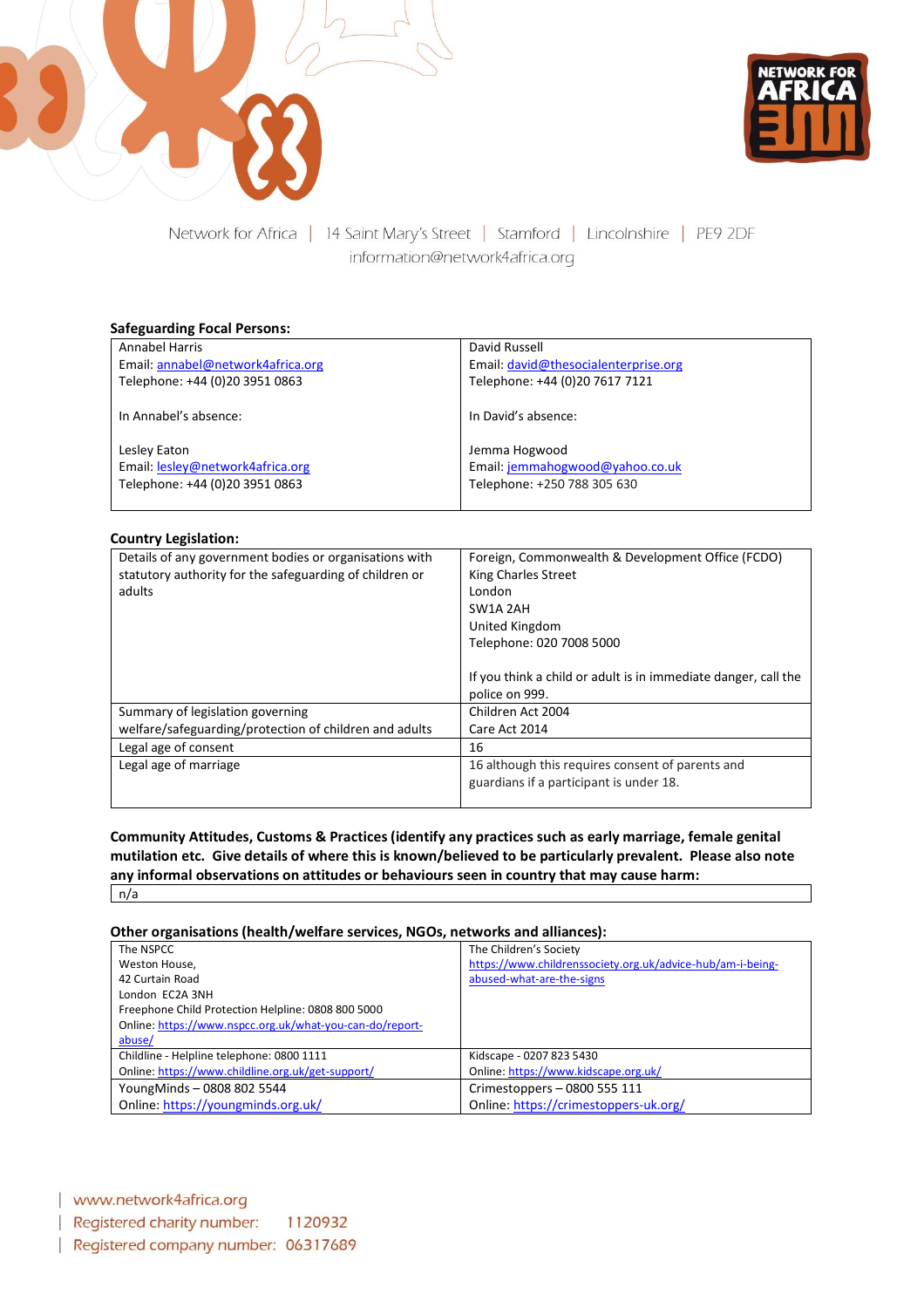



Network for Africa | 14 Saint Mary's Street | Stamford | Lincolnshire | PE9 2DF information@network4africa.org

#### **Safeguarding Focal Persons:**

| Annabel Harris                    | David Russell                        |
|-----------------------------------|--------------------------------------|
| Email: annabel@network4africa.org | Email: david@thesocialenterprise.org |
| Telephone: +44 (0)20 3951 0863    | Telephone: +44 (0)20 7617 7121       |
|                                   |                                      |
| In Annabel's absence:             | In David's absence:                  |
|                                   |                                      |
| Lesley Eaton                      | Jemma Hogwood                        |
| Email: lesley@network4africa.org  | Email: jemmahogwood@yahoo.co.uk      |
| Telephone: +44 (0)20 3951 0863    | Telephone: +250 788 305 630          |
|                                   |                                      |

#### **Country Legislation:**

| Details of any government bodies or organisations with  | Foreign, Commonwealth & Development Office (FCDO)              |
|---------------------------------------------------------|----------------------------------------------------------------|
| statutory authority for the safeguarding of children or | King Charles Street                                            |
| adults                                                  | London                                                         |
|                                                         | SW1A 2AH                                                       |
|                                                         | United Kingdom                                                 |
|                                                         | Telephone: 020 7008 5000                                       |
|                                                         |                                                                |
|                                                         | If you think a child or adult is in immediate danger, call the |
|                                                         | police on 999.                                                 |
| Summary of legislation governing                        | Children Act 2004                                              |
| welfare/safeguarding/protection of children and adults  | Care Act 2014                                                  |
| Legal age of consent                                    | 16                                                             |
| Legal age of marriage                                   | 16 although this requires consent of parents and               |
|                                                         | guardians if a participant is under 18.                        |
|                                                         |                                                                |

**Community Attitudes, Customs & Practices (identify any practices such as early marriage, female genital mutilation etc. Give details of where this is known/believed to be particularly prevalent. Please also note any informal observations on attitudes or behaviours seen in country that may cause harm:** n/a

#### **Other organisations (health/welfare services, NGOs, networks and alliances):**

| The NSPCC                                                | The Children's Society                                     |
|----------------------------------------------------------|------------------------------------------------------------|
| Weston House,                                            | https://www.childrenssociety.org.uk/advice-hub/am-i-being- |
| 42 Curtain Road                                          | abused-what-are-the-signs                                  |
| London EC2A 3NH                                          |                                                            |
| Freephone Child Protection Helpline: 0808 800 5000       |                                                            |
| Online: https://www.nspcc.org.uk/what-you-can-do/report- |                                                            |
| abuse/                                                   |                                                            |
| Childline - Helpline telephone: 0800 1111                | Kidscape - 0207 823 5430                                   |
| Online: https://www.childline.org.uk/get-support/        | Online: https://www.kidscape.org.uk/                       |
| YoungMinds-0808 802 5544                                 | Crimestoppers - 0800 555 111                               |
| Online: https://youngminds.org.uk/                       | Online: https://crimestoppers-uk.org/                      |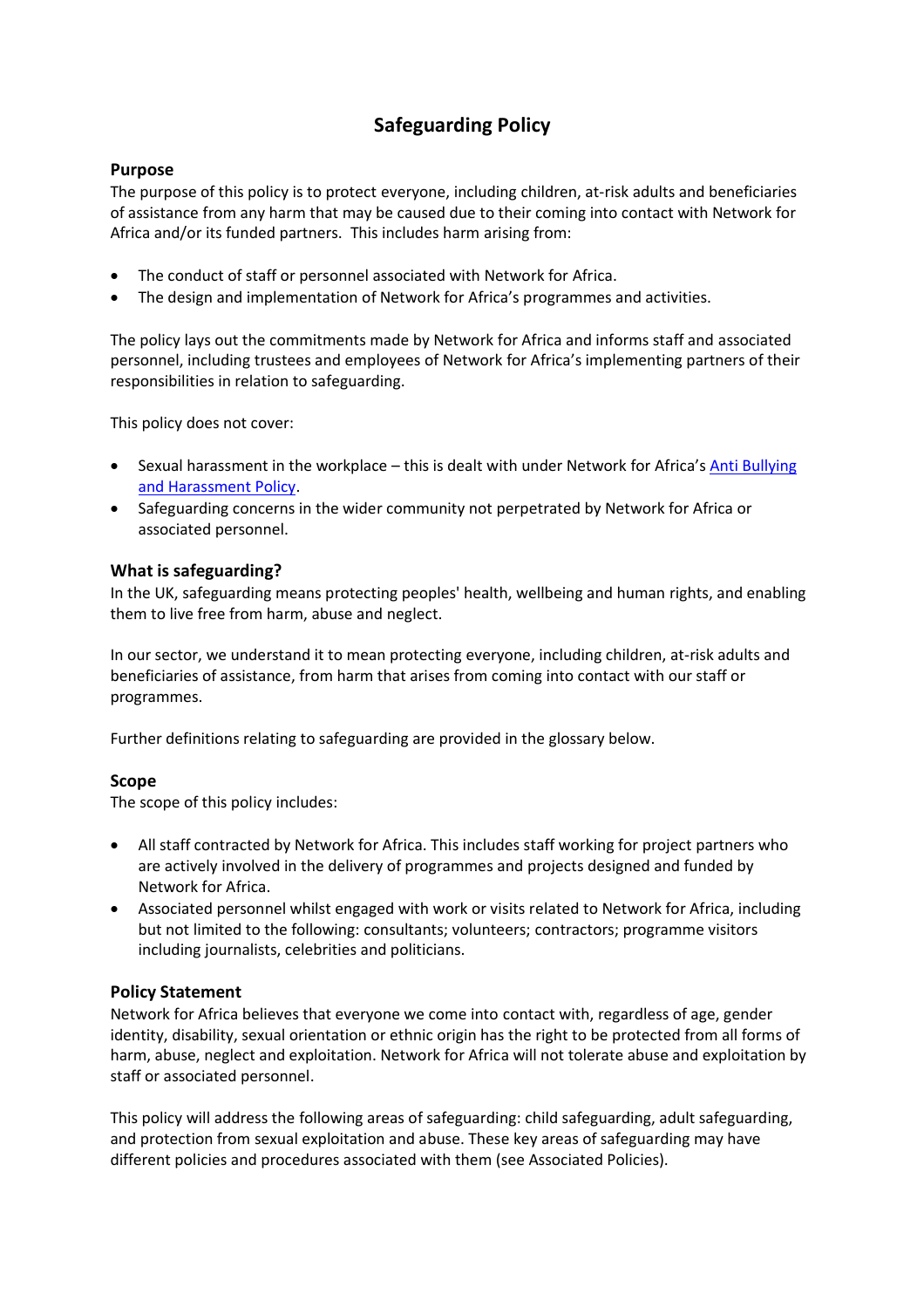# **Safeguarding Policy**

## **Purpose**

The purpose of this policy is to protect everyone, including children, at-risk adults and beneficiaries of assistance from any harm that may be caused due to their coming into contact with Network for Africa and/or its funded partners. This includes harm arising from:

- The conduct of staff or personnel associated with Network for Africa.
- The design and implementation of Network for Africa's programmes and activities.

The policy lays out the commitments made by Network for Africa and informs staff and associated personnel, including trustees and employees of Network for Africa's implementing partners of their responsibilities in relation to safeguarding.

This policy does not cover:

- Sexual harassment in the workplace this is dealt with under Network for Africa's Anti Bullying [and Harassment Policy.](https://network4africa.org/wp-content/uploads/2022/06/anti-bullying-policy.pdf)
- Safeguarding concerns in the wider community not perpetrated by Network for Africa or associated personnel.

## **What is safeguarding?**

In the UK, safeguarding means protecting peoples' health, wellbeing and human rights, and enabling them to live free from harm, abuse and neglect.

In our sector, we understand it to mean protecting everyone, including children, at-risk adults and beneficiaries of assistance, from harm that arises from coming into contact with our staff or programmes.

Further definitions relating to safeguarding are provided in the glossary below.

## **Scope**

The scope of this policy includes:

- All staff contracted by Network for Africa. This includes staff working for project partners who are actively involved in the delivery of programmes and projects designed and funded by Network for Africa.
- Associated personnel whilst engaged with work or visits related to Network for Africa, including but not limited to the following: consultants; volunteers; contractors; programme visitors including journalists, celebrities and politicians.

## **Policy Statement**

Network for Africa believes that everyone we come into contact with, regardless of age, gender identity, disability, sexual orientation or ethnic origin has the right to be protected from all forms of harm, abuse, neglect and exploitation. Network for Africa will not tolerate abuse and exploitation by staff or associated personnel.

This policy will address the following areas of safeguarding: child safeguarding, adult safeguarding, and protection from sexual exploitation and abuse. These key areas of safeguarding may have different policies and procedures associated with them (see Associated Policies).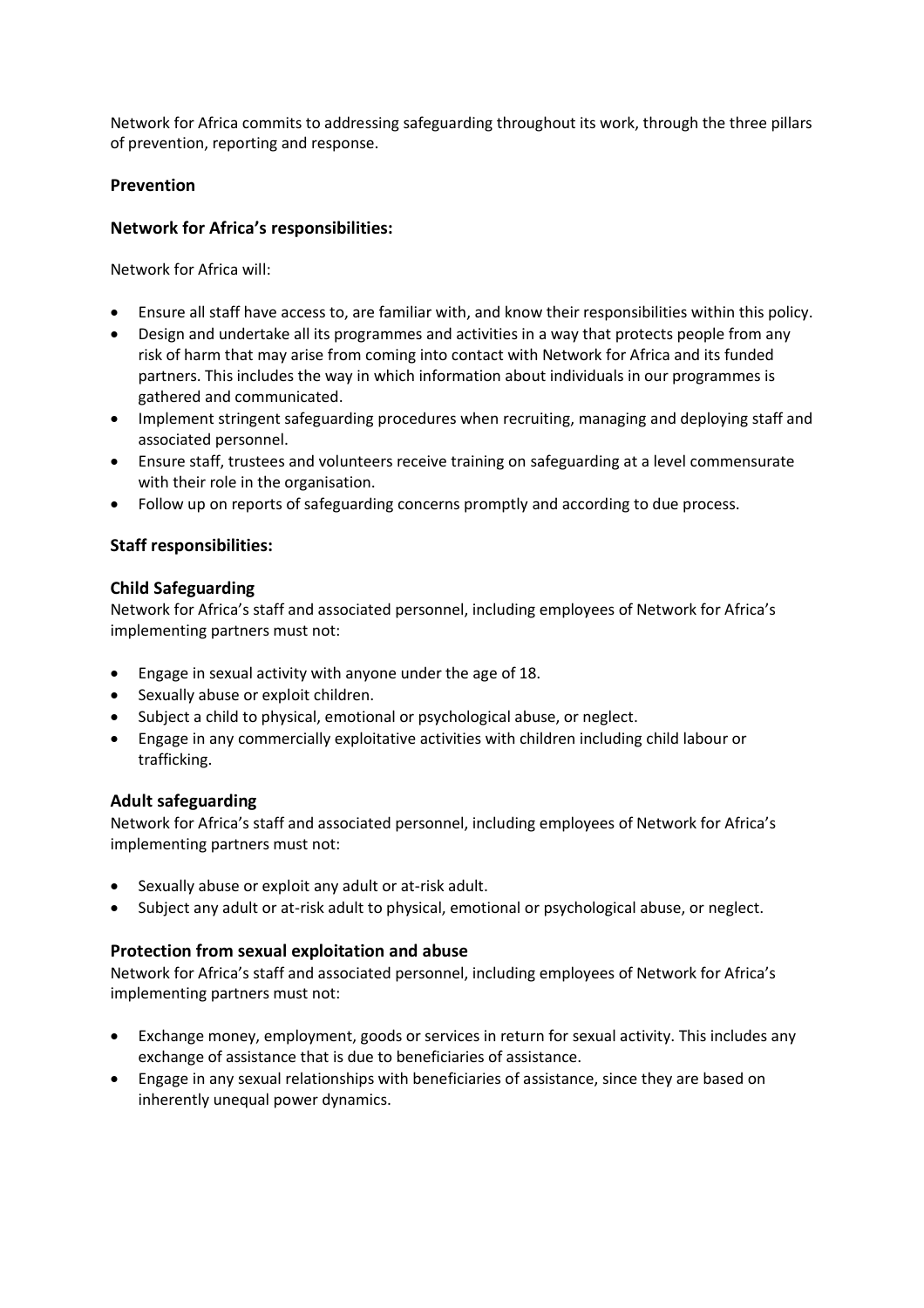Network for Africa commits to addressing safeguarding throughout its work, through the three pillars of prevention, reporting and response.

## **Prevention**

## **Network for Africa's responsibilities:**

Network for Africa will:

- Ensure all staff have access to, are familiar with, and know their responsibilities within this policy.
- Design and undertake all its programmes and activities in a way that protects people from any risk of harm that may arise from coming into contact with Network for Africa and its funded partners. This includes the way in which information about individuals in our programmes is gathered and communicated.
- Implement stringent safeguarding procedures when recruiting, managing and deploying staff and associated personnel.
- Ensure staff, trustees and volunteers receive training on safeguarding at a level commensurate with their role in the organisation.
- Follow up on reports of safeguarding concerns promptly and according to due process.

## **Staff responsibilities:**

## **Child Safeguarding**

Network for Africa's staff and associated personnel, including employees of Network for Africa's implementing partners must not:

- Engage in sexual activity with anyone under the age of 18.
- Sexually abuse or exploit children.
- Subject a child to physical, emotional or psychological abuse, or neglect.
- Engage in any commercially exploitative activities with children including child labour or trafficking.

# **Adult safeguarding**

Network for Africa's staff and associated personnel, including employees of Network for Africa's implementing partners must not:

- Sexually abuse or exploit any adult or at-risk adult.
- Subject any adult or at-risk adult to physical, emotional or psychological abuse, or neglect.

# **Protection from sexual exploitation and abuse**

Network for Africa's staff and associated personnel, including employees of Network for Africa's implementing partners must not:

- Exchange money, employment, goods or services in return for sexual activity. This includes any exchange of assistance that is due to beneficiaries of assistance.
- Engage in any sexual relationships with beneficiaries of assistance, since they are based on inherently unequal power dynamics.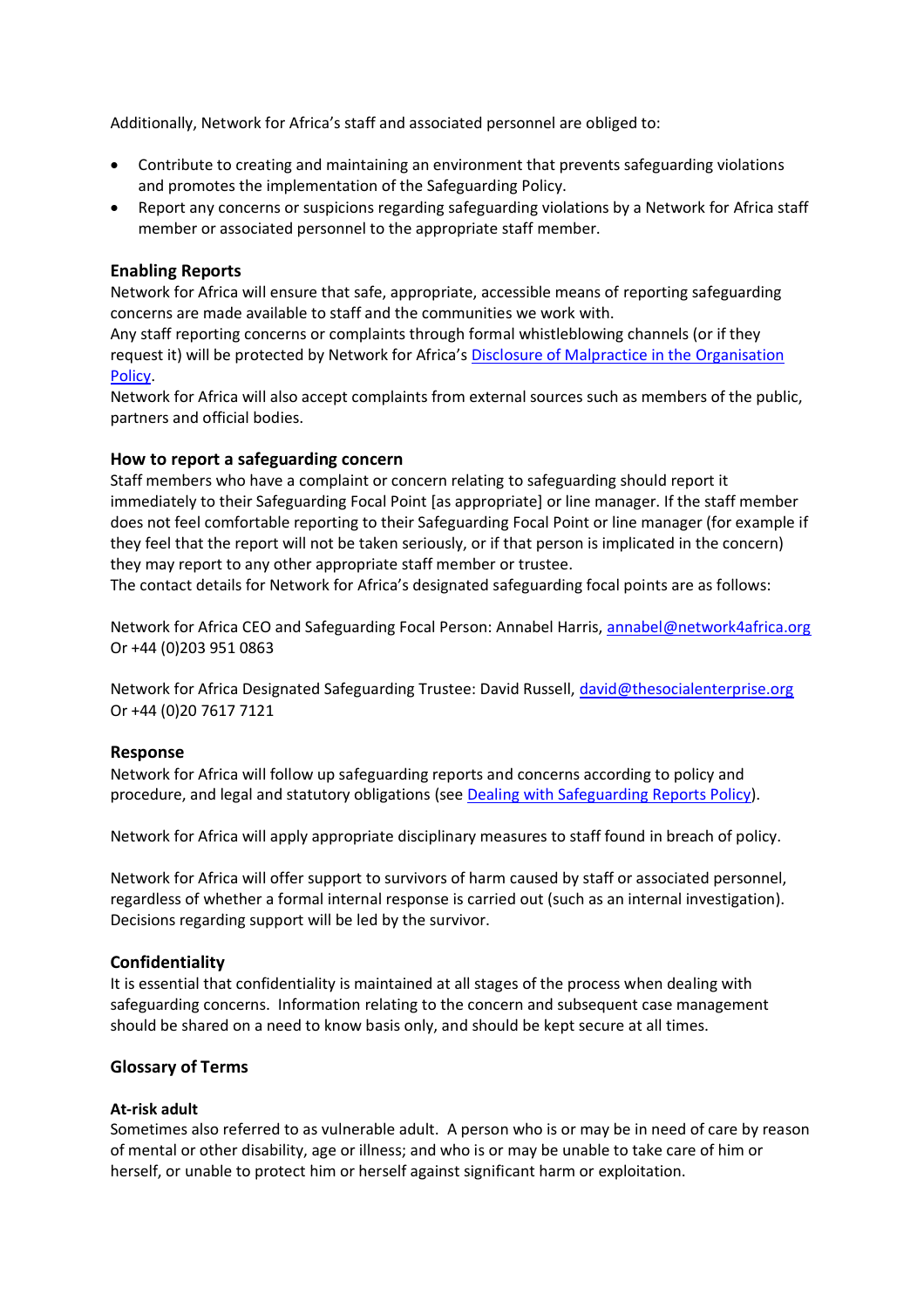Additionally, Network for Africa's staff and associated personnel are obliged to:

- Contribute to creating and maintaining an environment that prevents safeguarding violations and promotes the implementation of the Safeguarding Policy.
- Report any concerns or suspicions regarding safeguarding violations by a Network for Africa staff member or associated personnel to the appropriate staff member.

#### **Enabling Reports**

Network for Africa will ensure that safe, appropriate, accessible means of reporting safeguarding concerns are made available to staff and the communities we work with.

Any staff reporting concerns or complaints through formal whistleblowing channels (or if they request it) will be protected by Network for Africa's [Disclosure of Malpractice in the Organisation](https://network4africa.org/wp-content/uploads/2022/06/disclosure-of-malpractice-policy.pdf) [Policy.](https://network4africa.org/wp-content/uploads/2022/06/disclosure-of-malpractice-policy.pdf)

Network for Africa will also accept complaints from external sources such as members of the public, partners and official bodies.

## **How to report a safeguarding concern**

Staff members who have a complaint or concern relating to safeguarding should report it immediately to their Safeguarding Focal Point [as appropriate] or line manager. If the staff member does not feel comfortable reporting to their Safeguarding Focal Point or line manager (for example if they feel that the report will not be taken seriously, or if that person is implicated in the concern) they may report to any other appropriate staff member or trustee.

The contact details for Network for Africa's designated safeguarding focal points are as follows:

Network for Africa CEO and Safeguarding Focal Person: Annabel Harris, [annabel@network4africa.org](mailto:annabel@network4africa.org) Or +44 (0)203 951 0863

Network for Africa Designated Safeguarding Trustee: David Russell, [david@thesocialenterprise.org](mailto:david@thesocialenterprise.org) Or +44 (0)20 7617 7121

#### **Response**

Network for Africa will follow up safeguarding reports and concerns according to policy and procedure, and legal and statutory obligations (see [Dealing with Safeguarding Reports Policy\)](https://network4africa.org/wp-content/uploads/2022/06/dealing-with-safeguarding-reports.pdf).

Network for Africa will apply appropriate disciplinary measures to staff found in breach of policy.

Network for Africa will offer support to survivors of harm caused by staff or associated personnel, regardless of whether a formal internal response is carried out (such as an internal investigation). Decisions regarding support will be led by the survivor.

#### **Confidentiality**

It is essential that confidentiality is maintained at all stages of the process when dealing with safeguarding concerns. Information relating to the concern and subsequent case management should be shared on a need to know basis only, and should be kept secure at all times.

## **Glossary of Terms**

#### **At-risk adult**

Sometimes also referred to as vulnerable adult. A person who is or may be in need of care by reason of mental or other disability, age or illness; and who is or may be unable to take care of him or herself, or unable to protect him or herself against significant harm or exploitation.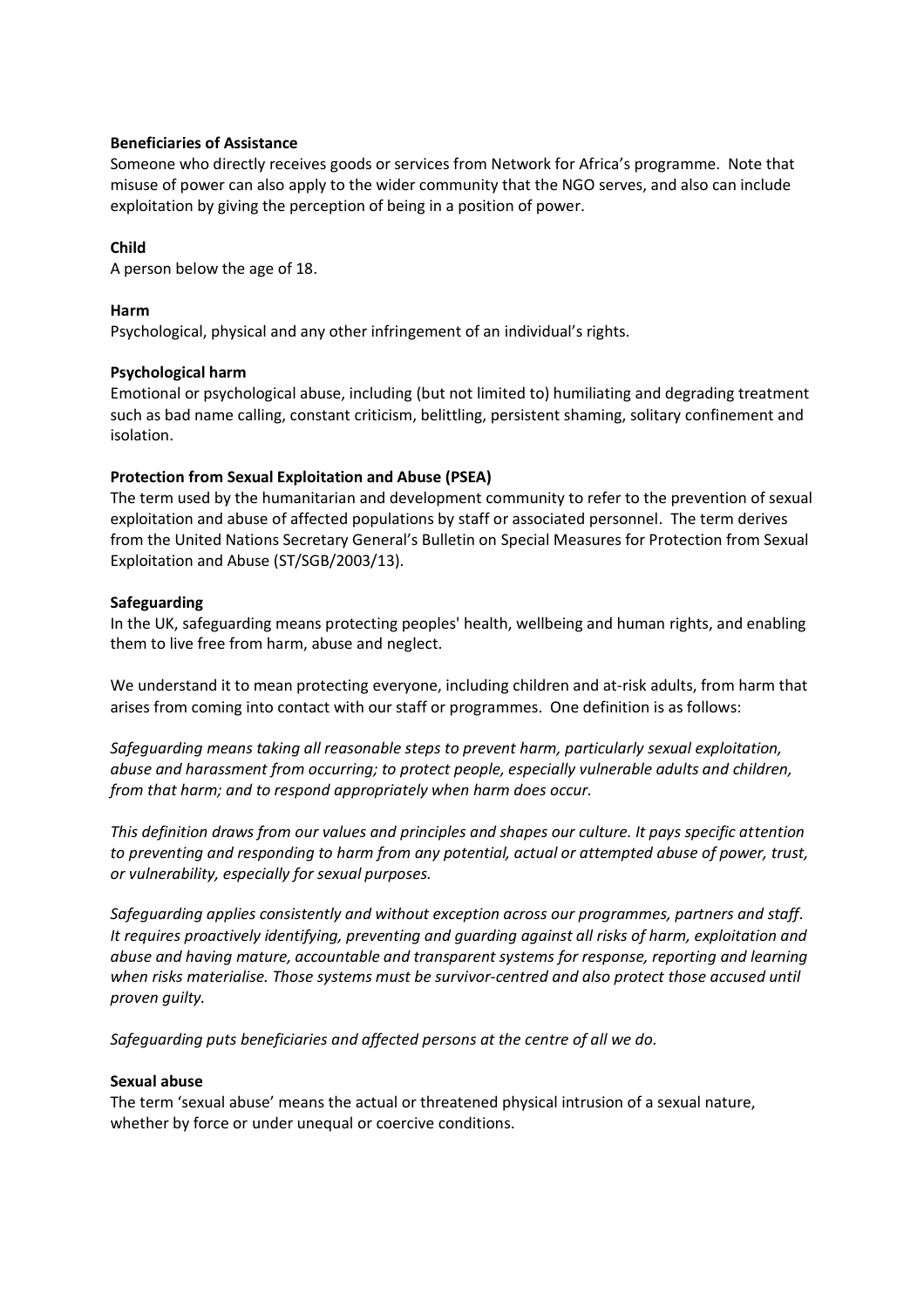#### **Beneficiaries of Assistance**

Someone who directly receives goods or services from Network for Africa's programme. Note that misuse of power can also apply to the wider community that the NGO serves, and also can include exploitation by giving the perception of being in a position of power.

## **Child**

A person below the age of 18.

#### **Harm**

Psychological, physical and any other infringement of an individual's rights.

## **Psychological harm**

Emotional or psychological abuse, including (but not limited to) humiliating and degrading treatment such as bad name calling, constant criticism, belittling, persistent shaming, solitary confinement and isolation.

## **Protection from Sexual Exploitation and Abuse (PSEA)**

The term used by the humanitarian and development community to refer to the prevention of sexual exploitation and abuse of affected populations by staff or associated personnel. The term derives from the United Nations Secretary General's Bulletin on Special Measures for Protection from Sexual Exploitation and Abuse (ST/SGB/2003/13).

## **Safeguarding**

In the UK, safeguarding means protecting peoples' health, wellbeing and human rights, and enabling them to live free from harm, abuse and neglect.

We understand it to mean protecting everyone, including children and at-risk adults, from harm that arises from coming into contact with our staff or programmes. One definition is as follows:

*Safeguarding means taking all reasonable steps to prevent harm, particularly sexual exploitation, abuse and harassment from occurring; to protect people, especially vulnerable adults and children, from that harm; and to respond appropriately when harm does occur.*

*This definition draws from our values and principles and shapes our culture. It pays specific attention to preventing and responding to harm from any potential, actual or attempted abuse of power, trust, or vulnerability, especially for sexual purposes.*

*Safeguarding applies consistently and without exception across our programmes, partners and staff. It requires proactively identifying, preventing and guarding against all risks of harm, exploitation and abuse and having mature, accountable and transparent systems for response, reporting and learning when risks materialise. Those systems must be survivor-centred and also protect those accused until proven guilty.*

*Safeguarding puts beneficiaries and affected persons at the centre of all we do.*

#### **Sexual abuse**

The term 'sexual abuse' means the actual or threatened physical intrusion of a sexual nature, whether by force or under unequal or coercive conditions.